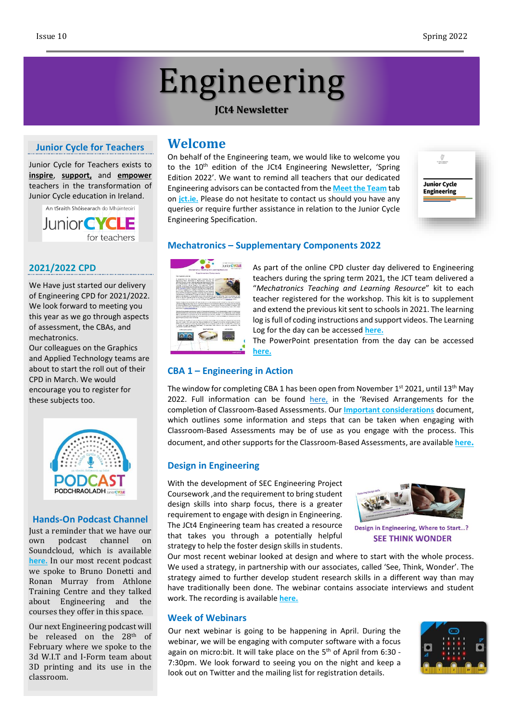# Engineering

#### **JCt4 Newsletter**

## **Junior Cycle for Teachers**

Junior Cycle for Teachers exists to **inspire**, **support,** and **empower** teachers in the transformation of Junior Cycle education in Ireland.



#### **2021/2022 CPD**

We Have just started our delivery of Engineering CPD for 2021/2022. We look forward to meeting you this year as we go through aspects of assessment, the CBAs, and mechatronics.

Our colleagues on the Graphics and Applied Technology teams are about to start the roll out of their CPD in March. We would encourage you to register for these subjects too.



#### **Hands-On Podcast Channel**

Just a reminder that we have our own podcast channel on Soundcloud, which is available **[here.](https://soundcloud.com/user-65250337/sets/jct4)** In our most recent podcast we spoke to Bruno Donetti and Ronan Murray from Athlone Training Centre and they talked about Engineering and the courses they offer in this space.

Our next Engineering podcast will be released on the 28<sup>th</sup> of February where we spoke to the 3d W.I.T and I-Form team about 3D printing and its use in the classroom.

# **Welcome**

On behalf of the Engineering team, we would like to welcome you to the 10<sup>th</sup> edition of the JCt4 Engineering Newsletter, 'Spring Edition 2022'. We want to remind all teachers that our dedicated Engineering advisors can be contacted from the **Meet the [Team](https://jct.ie/home/meet_the_team.php#spy_technologiesadvisors)** tab on **[jct.ie.](http://jct.ie/home/home.php)** Please do not hesitate to contact us should you have any queries or require further assistance in relation to the Junior Cycle Engineering Specification.



#### **Mechatronics – Supplementary Components 2022**



As part of the online CPD cluster day delivered to Engineering teachers during the spring term 2021, the JCT team delivered a "*Mechatronics Teaching and Learning Resource*" kit to each teacher registered for the workshop. This kit is to supplement and extend the previous kit sent to schools in 2021. The learning log is full of coding instructions and support videos. The Learning Log for the day can be accessed **[here.](https://drive.google.com/file/d/166vOIKv8zrapDFRU0th1a3MazqeWsSh5/view)**

The PowerPoint presentation from the day can be accessed **[here.](https://www.jct.ie/technologies/cpd_supports_engineering_cpd_workshops_2021_2022#:~:text=or%20download%20file-,Presentation,-The%20CPD%20PowerPoint)**

#### **CBA 1 – Engineering in Action**

The window for completing CBA 1 has been open from November 1st 2021, until 13<sup>th</sup> May 2022. Full information can be found [here,](https://ncca.ie/media/5144/cba-revised-arrangements_06092021_en.pdf) in the 'Revised [Arrangements](https://ncca.ie/media/5144/cba-revised-arrangements_06092021_en.pdf) for the completion of [Classroom-Based](https://ncca.ie/media/5144/cba-revised-arrangements_06092021_en.pdf) Assessments. Our **Important [considerations](https://jct.ie/technologies/assessment_engineering#ImportantConsiderationsforCBA1)** document, which outlines some information and steps that can be taken when engaging with Classroom-Based Assessments may be of use as you engage with the process. This document, and other supports for the Classroom-Based Assessments, are available **[here](https://jct.ie/technologies/assessment_engineering).**

#### **Design in Engineering**

With the development of SEC Engineering Project Coursework ,and the requirement to bring student design skills into sharp focus, there is a greater requirement to engage with design in Engineering. The JCt4 Engineering team has created a resource that takes you through a potentially helpful strategy to help the foster design skills in students.



Design in Engineering, Where to Start...? **SEE THINK WONDER** 

Our most recent webinar looked at design and where to start with the whole process. We used a strategy, in partnership with our associates, called 'See, Think, Wonder'. The strategy aimed to further develop student research skills in a different way than may have traditionally been done. The webinar contains associate interviews and student work. The recording is available **[here.](https://www.jct.ie/technologies/cpd_supports_engineering_elective_workshops)**

#### **Week of Webinars**

Our next webinar is going to be happening in April. During the webinar, we will be engaging with computer software with a focus again on micro:bit. It will take place on the 5<sup>th</sup> of April from 6:30 -7:30pm. We look forward to seeing you on the night and keep a look out on Twitter and the mailing list for registration details.